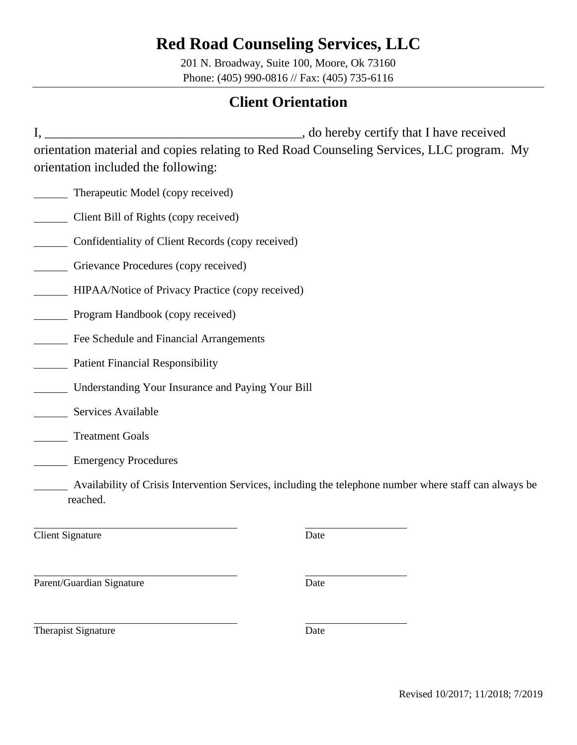201 N. Broadway, Suite 100, Moore, Ok 73160 Phone: (405) 990-0816 // Fax: (405) 735-6116

## **Client Orientation**

I, \_\_\_\_\_\_\_\_\_\_\_\_\_\_\_\_\_\_\_\_\_\_\_\_\_\_\_\_\_\_\_\_\_\_\_\_\_\_\_, do hereby certify that I have received orientation material and copies relating to Red Road Counseling Services, LLC program. My orientation included the following:

- Therapeutic Model (copy received)
- Client Bill of Rights (copy received)
- **Example 21 Confidentiality of Client Records (copy received)**
- Grievance Procedures (copy received)
- HIPAA/Notice of Privacy Practice (copy received)
- Program Handbook (copy received)
- Fee Schedule and Financial Arrangements
- Patient Financial Responsibility
- Understanding Your Insurance and Paying Your Bill
- Services Available
- Treatment Goals
- **Emergency Procedures**
- Availability of Crisis Intervention Services, including the telephone number where staff can always be reached.

**Client Signature** Date

Parent/Guardian Signature Date

Therapist Signature Date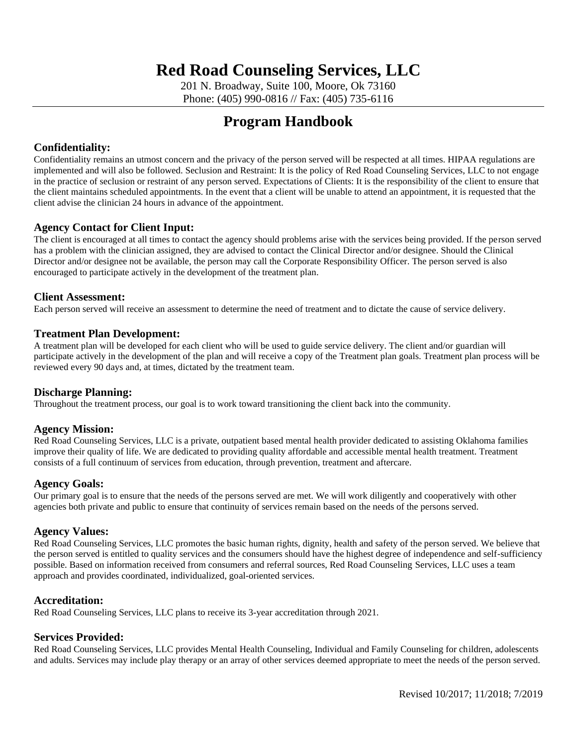201 N. Broadway, Suite 100, Moore, Ok 73160 Phone: (405) 990-0816 // Fax: (405) 735-6116

## **Program Handbook**

### **Confidentiality:**

Confidentiality remains an utmost concern and the privacy of the person served will be respected at all times. HIPAA regulations are implemented and will also be followed. Seclusion and Restraint: It is the policy of Red Road Counseling Services, LLC to not engage in the practice of seclusion or restraint of any person served. Expectations of Clients: It is the responsibility of the client to ensure that the client maintains scheduled appointments. In the event that a client will be unable to attend an appointment, it is requested that the client advise the clinician 24 hours in advance of the appointment.

### **Agency Contact for Client Input:**

The client is encouraged at all times to contact the agency should problems arise with the services being provided. If the person served has a problem with the clinician assigned, they are advised to contact the Clinical Director and/or designee. Should the Clinical Director and/or designee not be available, the person may call the Corporate Responsibility Officer. The person served is also encouraged to participate actively in the development of the treatment plan.

### **Client Assessment:**

Each person served will receive an assessment to determine the need of treatment and to dictate the cause of service delivery.

### **Treatment Plan Development:**

A treatment plan will be developed for each client who will be used to guide service delivery. The client and/or guardian will participate actively in the development of the plan and will receive a copy of the Treatment plan goals. Treatment plan process will be reviewed every 90 days and, at times, dictated by the treatment team.

### **Discharge Planning:**

Throughout the treatment process, our goal is to work toward transitioning the client back into the community.

### **Agency Mission:**

Red Road Counseling Services, LLC is a private, outpatient based mental health provider dedicated to assisting Oklahoma families improve their quality of life. We are dedicated to providing quality affordable and accessible mental health treatment. Treatment consists of a full continuum of services from education, through prevention, treatment and aftercare.

#### **Agency Goals:**

Our primary goal is to ensure that the needs of the persons served are met. We will work diligently and cooperatively with other agencies both private and public to ensure that continuity of services remain based on the needs of the persons served.

#### **Agency Values:**

Red Road Counseling Services, LLC promotes the basic human rights, dignity, health and safety of the person served. We believe that the person served is entitled to quality services and the consumers should have the highest degree of independence and self-sufficiency possible. Based on information received from consumers and referral sources, Red Road Counseling Services, LLC uses a team approach and provides coordinated, individualized, goal-oriented services.

### **Accreditation:**

Red Road Counseling Services, LLC plans to receive its 3-year accreditation through 2021.

### **Services Provided:**

Red Road Counseling Services, LLC provides Mental Health Counseling, Individual and Family Counseling for children, adolescents and adults. Services may include play therapy or an array of other services deemed appropriate to meet the needs of the person served.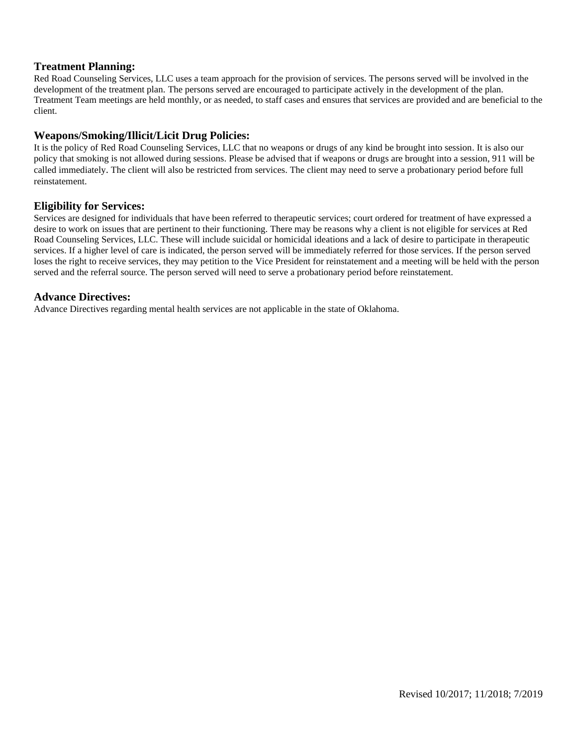### **Treatment Planning:**

Red Road Counseling Services, LLC uses a team approach for the provision of services. The persons served will be involved in the development of the treatment plan. The persons served are encouraged to participate actively in the development of the plan. Treatment Team meetings are held monthly, or as needed, to staff cases and ensures that services are provided and are beneficial to the client.

### **Weapons/Smoking/Illicit/Licit Drug Policies:**

It is the policy of Red Road Counseling Services, LLC that no weapons or drugs of any kind be brought into session. It is also our policy that smoking is not allowed during sessions. Please be advised that if weapons or drugs are brought into a session, 911 will be called immediately. The client will also be restricted from services. The client may need to serve a probationary period before full reinstatement.

### **Eligibility for Services:**

Services are designed for individuals that have been referred to therapeutic services; court ordered for treatment of have expressed a desire to work on issues that are pertinent to their functioning. There may be reasons why a client is not eligible for services at Red Road Counseling Services, LLC. These will include suicidal or homicidal ideations and a lack of desire to participate in therapeutic services. If a higher level of care is indicated, the person served will be immediately referred for those services. If the person served loses the right to receive services, they may petition to the Vice President for reinstatement and a meeting will be held with the person served and the referral source. The person served will need to serve a probationary period before reinstatement.

### **Advance Directives:**

Advance Directives regarding mental health services are not applicable in the state of Oklahoma.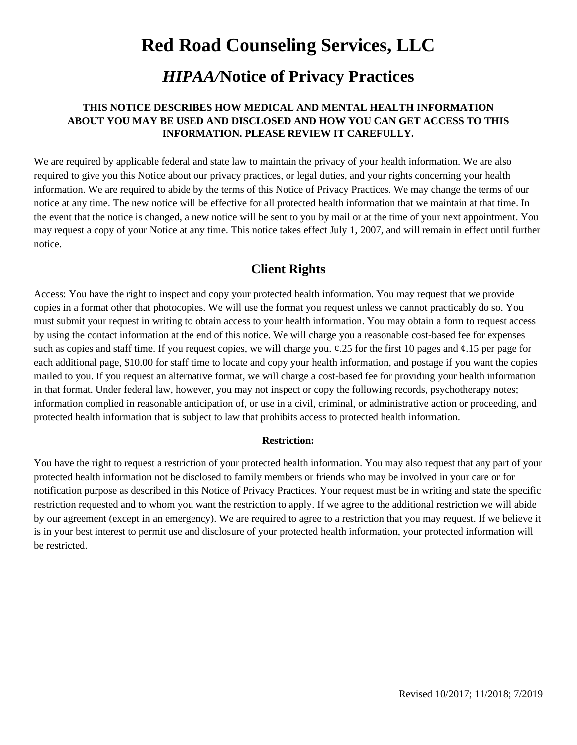## *HIPAA/***Notice of Privacy Practices**

### **THIS NOTICE DESCRIBES HOW MEDICAL AND MENTAL HEALTH INFORMATION ABOUT YOU MAY BE USED AND DISCLOSED AND HOW YOU CAN GET ACCESS TO THIS INFORMATION. PLEASE REVIEW IT CAREFULLY.**

We are required by applicable federal and state law to maintain the privacy of your health information. We are also required to give you this Notice about our privacy practices, or legal duties, and your rights concerning your health information. We are required to abide by the terms of this Notice of Privacy Practices. We may change the terms of our notice at any time. The new notice will be effective for all protected health information that we maintain at that time. In the event that the notice is changed, a new notice will be sent to you by mail or at the time of your next appointment. You may request a copy of your Notice at any time. This notice takes effect July 1, 2007, and will remain in effect until further notice.

### **Client Rights**

Access: You have the right to inspect and copy your protected health information. You may request that we provide copies in a format other that photocopies. We will use the format you request unless we cannot practicably do so. You must submit your request in writing to obtain access to your health information. You may obtain a form to request access by using the contact information at the end of this notice. We will charge you a reasonable cost-based fee for expenses such as copies and staff time. If you request copies, we will charge you.  $\varphi$ .25 for the first 10 pages and  $\varphi$ .15 per page for each additional page, \$10.00 for staff time to locate and copy your health information, and postage if you want the copies mailed to you. If you request an alternative format, we will charge a cost-based fee for providing your health information in that format. Under federal law, however, you may not inspect or copy the following records, psychotherapy notes; information complied in reasonable anticipation of, or use in a civil, criminal, or administrative action or proceeding, and protected health information that is subject to law that prohibits access to protected health information.

### **Restriction:**

You have the right to request a restriction of your protected health information. You may also request that any part of your protected health information not be disclosed to family members or friends who may be involved in your care or for notification purpose as described in this Notice of Privacy Practices. Your request must be in writing and state the specific restriction requested and to whom you want the restriction to apply. If we agree to the additional restriction we will abide by our agreement (except in an emergency). We are required to agree to a restriction that you may request. If we believe it is in your best interest to permit use and disclosure of your protected health information, your protected information will be restricted.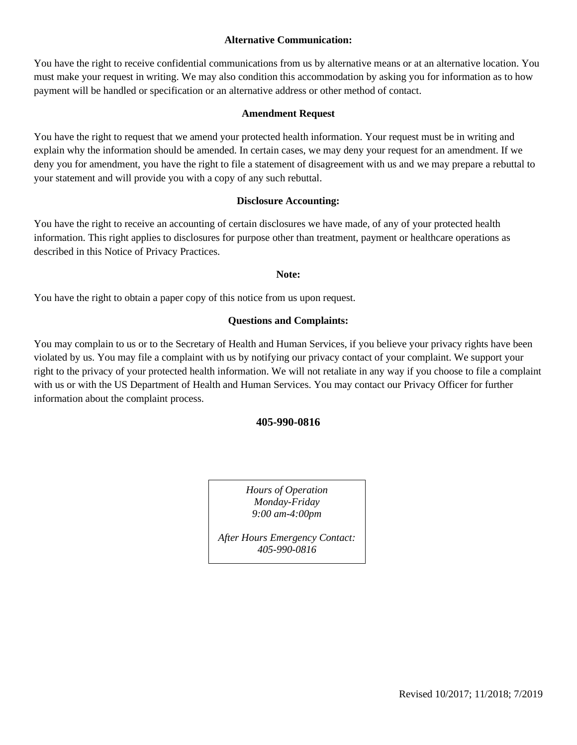### **Alternative Communication:**

You have the right to receive confidential communications from us by alternative means or at an alternative location. You must make your request in writing. We may also condition this accommodation by asking you for information as to how payment will be handled or specification or an alternative address or other method of contact.

### **Amendment Request**

You have the right to request that we amend your protected health information. Your request must be in writing and explain why the information should be amended. In certain cases, we may deny your request for an amendment. If we deny you for amendment, you have the right to file a statement of disagreement with us and we may prepare a rebuttal to your statement and will provide you with a copy of any such rebuttal.

### **Disclosure Accounting:**

You have the right to receive an accounting of certain disclosures we have made, of any of your protected health information. This right applies to disclosures for purpose other than treatment, payment or healthcare operations as described in this Notice of Privacy Practices.

### **Note:**

You have the right to obtain a paper copy of this notice from us upon request.

### **Questions and Complaints:**

You may complain to us or to the Secretary of Health and Human Services, if you believe your privacy rights have been violated by us. You may file a complaint with us by notifying our privacy contact of your complaint. We support your right to the privacy of your protected health information. We will not retaliate in any way if you choose to file a complaint with us or with the US Department of Health and Human Services. You may contact our Privacy Officer for further information about the complaint process.

### **405-990-0816**

*Hours of Operation Monday-Friday 9:00 am-4:00pm*

*After Hours Emergency Contact: 405-990-0816*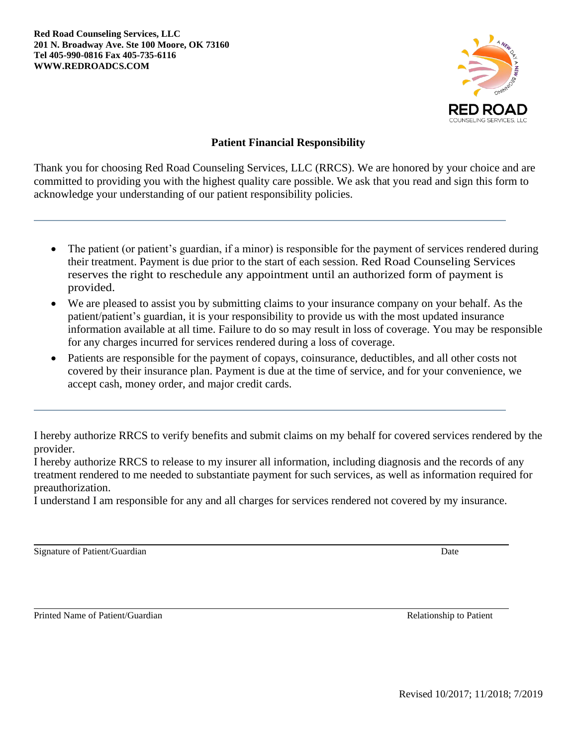**Red Road Counseling Services, LLC 201 N. Broadway Ave. Ste 100 Moore, OK 73160 Tel 405-990-0816 Fax 405-735-6116 WWW.REDROADCS.COM**



### **Patient Financial Responsibility**

Thank you for choosing Red Road Counseling Services, LLC (RRCS). We are honored by your choice and are committed to providing you with the highest quality care possible. We ask that you read and sign this form to acknowledge your understanding of our patient responsibility policies.

- The patient (or patient's guardian, if a minor) is responsible for the payment of services rendered during their treatment. Payment is due prior to the start of each session. Red Road Counseling Services reserves the right to reschedule any appointment until an authorized form of payment is provided.
- We are pleased to assist you by submitting claims to your insurance company on your behalf. As the patient/patient's guardian, it is your responsibility to provide us with the most updated insurance information available at all time. Failure to do so may result in loss of coverage. You may be responsible for any charges incurred for services rendered during a loss of coverage.
- Patients are responsible for the payment of copays, coinsurance, deductibles, and all other costs not covered by their insurance plan. Payment is due at the time of service, and for your convenience, we accept cash, money order, and major credit cards.

I hereby authorize RRCS to verify benefits and submit claims on my behalf for covered services rendered by the provider.

I hereby authorize RRCS to release to my insurer all information, including diagnosis and the records of any treatment rendered to me needed to substantiate payment for such services, as well as information required for preauthorization.

I understand I am responsible for any and all charges for services rendered not covered by my insurance.

Signature of Patient/Guardian Date

Printed Name of Patient/Guardian and The Patient and The Relationship to Patient Relationship to Patient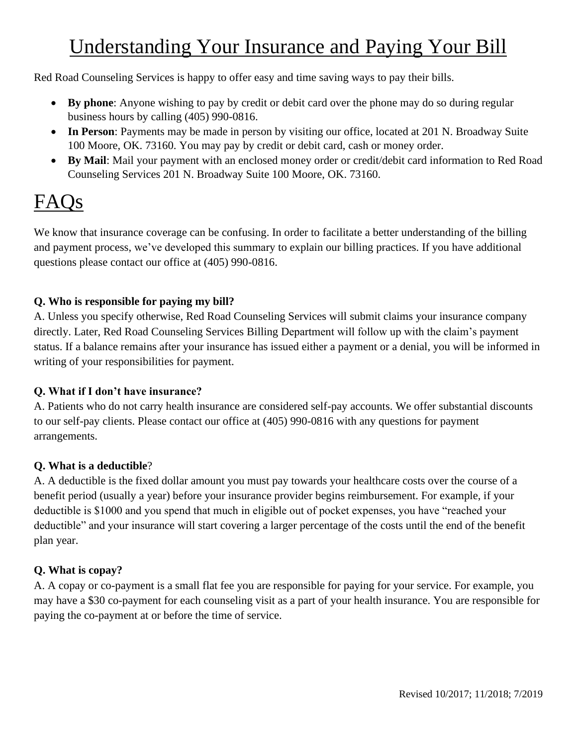# Understanding Your Insurance and Paying Your Bill

Red Road Counseling Services is happy to offer easy and time saving ways to pay their bills.

- **By phone**: Anyone wishing to pay by credit or debit card over the phone may do so during regular business hours by calling (405) 990-0816.
- **In Person**: Payments may be made in person by visiting our office, located at 201 N. Broadway Suite 100 Moore, OK. 73160. You may pay by credit or debit card, cash or money order.
- **By Mail**: Mail your payment with an enclosed money order or credit/debit card information to Red Road Counseling Services 201 N. Broadway Suite 100 Moore, OK. 73160.

# FAQs

We know that insurance coverage can be confusing. In order to facilitate a better understanding of the billing and payment process, we've developed this summary to explain our billing practices. If you have additional questions please contact our office at (405) 990-0816.

### **Q. Who is responsible for paying my bill?**

A. Unless you specify otherwise, Red Road Counseling Services will submit claims your insurance company directly. Later, Red Road Counseling Services Billing Department will follow up with the claim's payment status. If a balance remains after your insurance has issued either a payment or a denial, you will be informed in writing of your responsibilities for payment.

### **Q. What if I don't have insurance?**

A. Patients who do not carry health insurance are considered self-pay accounts. We offer substantial discounts to our self-pay clients. Please contact our office at (405) 990-0816 with any questions for payment arrangements.

### **Q. What is a deductible**?

A. A deductible is the fixed dollar amount you must pay towards your healthcare costs over the course of a benefit period (usually a year) before your insurance provider begins reimbursement. For example, if your deductible is \$1000 and you spend that much in eligible out of pocket expenses, you have "reached your deductible" and your insurance will start covering a larger percentage of the costs until the end of the benefit plan year.

### **Q. What is copay?**

A. A copay or co-payment is a small flat fee you are responsible for paying for your service. For example, you may have a \$30 co-payment for each counseling visit as a part of your health insurance. You are responsible for paying the co-payment at or before the time of service.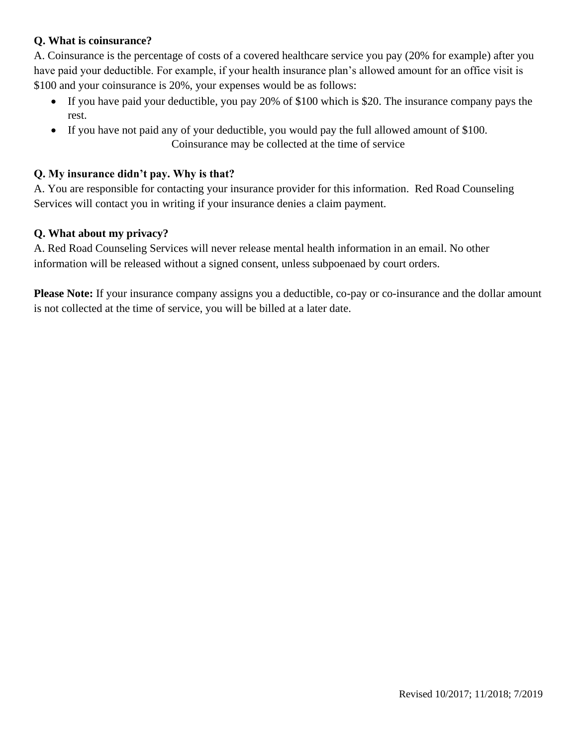### **Q. What is coinsurance?**

A. Coinsurance is the percentage of costs of a covered healthcare service you pay (20% for example) after you have paid your deductible. For example, if your health insurance plan's allowed amount for an office visit is \$100 and your coinsurance is 20%, your expenses would be as follows:

- If you have paid your deductible, you pay 20% of \$100 which is \$20. The insurance company pays the rest.
- If you have not paid any of your deductible, you would pay the full allowed amount of \$100. Coinsurance may be collected at the time of service

### **Q. My insurance didn't pay. Why is that?**

A. You are responsible for contacting your insurance provider for this information. Red Road Counseling Services will contact you in writing if your insurance denies a claim payment.

### **Q. What about my privacy?**

A. Red Road Counseling Services will never release mental health information in an email. No other information will be released without a signed consent, unless subpoenaed by court orders.

**Please Note:** If your insurance company assigns you a deductible, co-pay or co-insurance and the dollar amount is not collected at the time of service, you will be billed at a later date.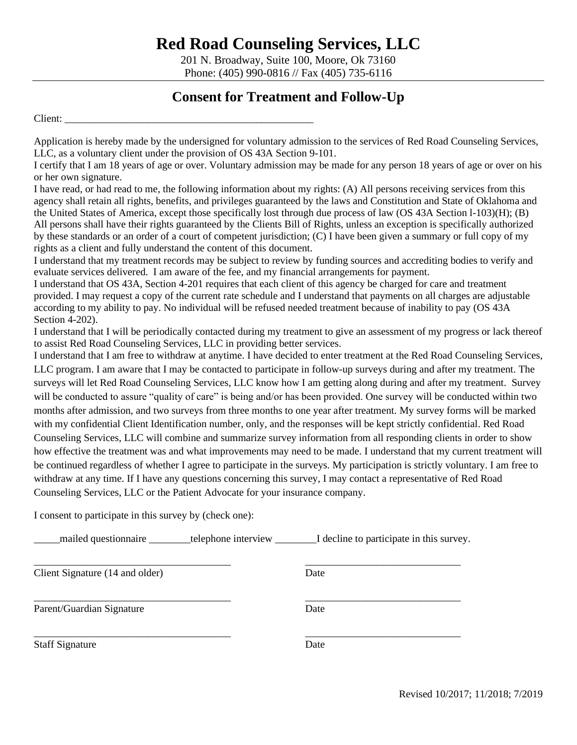201 N. Broadway, Suite 100, Moore, Ok 73160 Phone: (405) 990-0816 // Fax (405) 735-6116

### **Consent for Treatment and Follow-Up**

Client: \_\_\_\_\_\_\_\_\_\_\_\_\_\_\_\_\_\_\_\_\_\_\_\_\_\_\_\_\_\_\_\_\_\_\_\_\_\_\_\_\_\_\_\_\_\_\_\_

Application is hereby made by the undersigned for voluntary admission to the services of Red Road Counseling Services, LLC, as a voluntary client under the provision of OS 43A Section 9-101.

I certify that I am 18 years of age or over. Voluntary admission may be made for any person 18 years of age or over on his or her own signature.

I have read, or had read to me, the following information about my rights: (A) All persons receiving services from this agency shall retain all rights, benefits, and privileges guaranteed by the laws and Constitution and State of Oklahoma and the United States of America, except those specifically lost through due process of law (OS 43A Section l-103)(H); (B) All persons shall have their rights guaranteed by the Clients Bill of Rights, unless an exception is specifically authorized by these standards or an order of a court of competent jurisdiction; (C) I have been given a summary or full copy of my rights as a client and fully understand the content of this document.

I understand that my treatment records may be subject to review by funding sources and accrediting bodies to verify and evaluate services delivered. I am aware of the fee, and my financial arrangements for payment.

I understand that OS 43A, Section 4-201 requires that each client of this agency be charged for care and treatment provided. I may request a copy of the current rate schedule and I understand that payments on all charges are adjustable according to my ability to pay. No individual will be refused needed treatment because of inability to pay (OS 43A Section 4-202).

I understand that I will be periodically contacted during my treatment to give an assessment of my progress or lack thereof to assist Red Road Counseling Services, LLC in providing better services.

I understand that I am free to withdraw at anytime. I have decided to enter treatment at the Red Road Counseling Services, LLC program. I am aware that I may be contacted to participate in follow-up surveys during and after my treatment. The surveys will let Red Road Counseling Services, LLC know how I am getting along during and after my treatment. Survey will be conducted to assure "quality of care" is being and/or has been provided. One survey will be conducted within two months after admission, and two surveys from three months to one year after treatment. My survey forms will be marked with my confidential Client Identification number, only, and the responses will be kept strictly confidential. Red Road Counseling Services, LLC will combine and summarize survey information from all responding clients in order to show how effective the treatment was and what improvements may need to be made. I understand that my current treatment will be continued regardless of whether I agree to participate in the surveys. My participation is strictly voluntary. I am free to withdraw at any time. If I have any questions concerning this survey, I may contact a representative of Red Road Counseling Services, LLC or the Patient Advocate for your insurance company.

I consent to participate in this survey by (check one):

\_\_\_\_\_mailed questionnaire \_\_\_\_\_\_\_\_telephone interview \_\_\_\_\_\_\_\_I decline to participate in this survey.

| Client Signature (14 and older) | Date |  |
|---------------------------------|------|--|
| Parent/Guardian Signature       | Date |  |
| <b>Staff Signature</b>          | Date |  |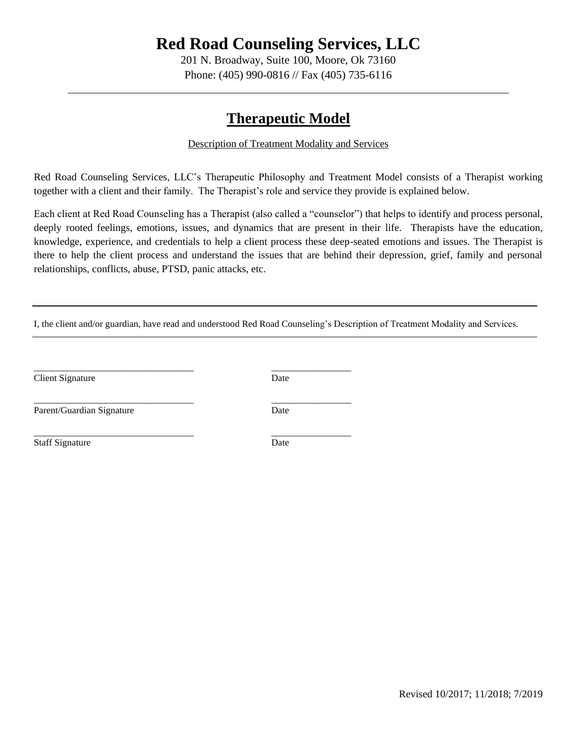201 N. Broadway, Suite 100, Moore, Ok 73160 Phone: (405) 990-0816 // Fax (405) 735-6116

## **Therapeutic Model**

### Description of Treatment Modality and Services

Red Road Counseling Services, LLC's Therapeutic Philosophy and Treatment Model consists of a Therapist working together with a client and their family. The Therapist's role and service they provide is explained below.

Each client at Red Road Counseling has a Therapist (also called a "counselor") that helps to identify and process personal, deeply rooted feelings, emotions, issues, and dynamics that are present in their life. Therapists have the education, knowledge, experience, and credentials to help a client process these deep-seated emotions and issues. The Therapist is there to help the client process and understand the issues that are behind their depression, grief, family and personal relationships, conflicts, abuse, PTSD, panic attacks, etc.

I, the client and/or guardian, have read and understood Red Road Counseling's Description of Treatment Modality and Services.

Client Signature Date

Parent/Guardian Signature Date

Staff Signature Date

\_\_\_\_\_\_\_\_\_\_\_\_\_\_\_\_\_\_\_\_\_\_\_\_\_\_\_\_\_\_\_\_\_\_ \_\_\_\_\_\_\_\_\_\_\_\_\_\_\_\_\_

\_\_\_\_\_\_\_\_\_\_\_\_\_\_\_\_\_\_\_\_\_\_\_\_\_\_\_\_\_\_\_\_\_\_ \_\_\_\_\_\_\_\_\_\_\_\_\_\_\_\_\_

\_\_\_\_\_\_\_\_\_\_\_\_\_\_\_\_\_\_\_\_\_\_\_\_\_\_\_\_\_\_\_\_\_\_ \_\_\_\_\_\_\_\_\_\_\_\_\_\_\_\_\_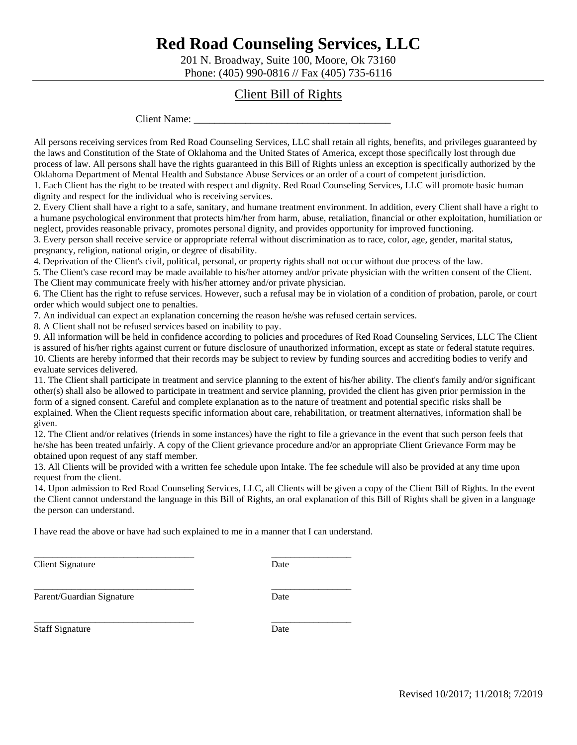201 N. Broadway, Suite 100, Moore, Ok 73160 Phone: (405) 990-0816 // Fax (405) 735-6116

### Client Bill of Rights

Client Name:

All persons receiving services from Red Road Counseling Services, LLC shall retain all rights, benefits, and privileges guaranteed by the laws and Constitution of the State of Oklahoma and the United States of America, except those specifically lost through due process of law. All persons shall have the rights guaranteed in this Bill of Rights unless an exception is specifically authorized by the Oklahoma Department of Mental Health and Substance Abuse Services or an order of a court of competent jurisdiction. 1. Each Client has the right to be treated with respect and dignity. Red Road Counseling Services, LLC will promote basic human

dignity and respect for the individual who is receiving services.

2. Every Client shall have a right to a safe, sanitary, and humane treatment environment. In addition, every Client shall have a right to a humane psychological environment that protects him/her from harm, abuse, retaliation, financial or other exploitation, humiliation or neglect, provides reasonable privacy, promotes personal dignity, and provides opportunity for improved functioning.

3. Every person shall receive service or appropriate referral without discrimination as to race, color, age, gender, marital status, pregnancy, religion, national origin, or degree of disability.

4. Deprivation of the Client's civil, political, personal, or property rights shall not occur without due process of the law.

5. The Client's case record may be made available to his/her attorney and/or private physician with the written consent of the Client. The Client may communicate freely with his/her attorney and/or private physician.

6. The Client has the right to refuse services. However, such a refusal may be in violation of a condition of probation, parole, or court order which would subject one to penalties.

7. An individual can expect an explanation concerning the reason he/she was refused certain services.

8. A Client shall not be refused services based on inability to pay.

9. All information will be held in confidence according to policies and procedures of Red Road Counseling Services, LLC The Client is assured of his/her rights against current or future disclosure of unauthorized information, except as state or federal statute requires. 10. Clients are hereby informed that their records may be subject to review by funding sources and accrediting bodies to verify and evaluate services delivered.

11. The Client shall participate in treatment and service planning to the extent of his/her ability. The client's family and/or significant other(s) shall also be allowed to participate in treatment and service planning, provided the client has given prior permission in the form of a signed consent. Careful and complete explanation as to the nature of treatment and potential specific risks shall be explained. When the Client requests specific information about care, rehabilitation, or treatment alternatives, information shall be given.

12. The Client and/or relatives (friends in some instances) have the right to file a grievance in the event that such person feels that he/she has been treated unfairly. A copy of the Client grievance procedure and/or an appropriate Client Grievance Form may be obtained upon request of any staff member.

13. All Clients will be provided with a written fee schedule upon Intake. The fee schedule will also be provided at any time upon request from the client.

14. Upon admission to Red Road Counseling Services, LLC, all Clients will be given a copy of the Client Bill of Rights. In the event the Client cannot understand the language in this Bill of Rights, an oral explanation of this Bill of Rights shall be given in a language the person can understand.

I have read the above or have had such explained to me in a manner that I can understand.

\_\_\_\_\_\_\_\_\_\_\_\_\_\_\_\_\_\_\_\_\_\_\_\_\_\_\_\_\_\_\_\_\_\_ \_\_\_\_\_\_\_\_\_\_\_\_\_\_\_\_\_

\_\_\_\_\_\_\_\_\_\_\_\_\_\_\_\_\_\_\_\_\_\_\_\_\_\_\_\_\_\_\_\_\_\_ \_\_\_\_\_\_\_\_\_\_\_\_\_\_\_\_\_

**Client Signature** Date

\_\_\_\_\_\_\_\_\_\_\_\_\_\_\_\_\_\_\_\_\_\_\_\_\_\_\_\_\_\_\_\_\_\_ \_\_\_\_\_\_\_\_\_\_\_\_\_\_\_\_\_ Parent/Guardian Signature Date

Staff Signature Date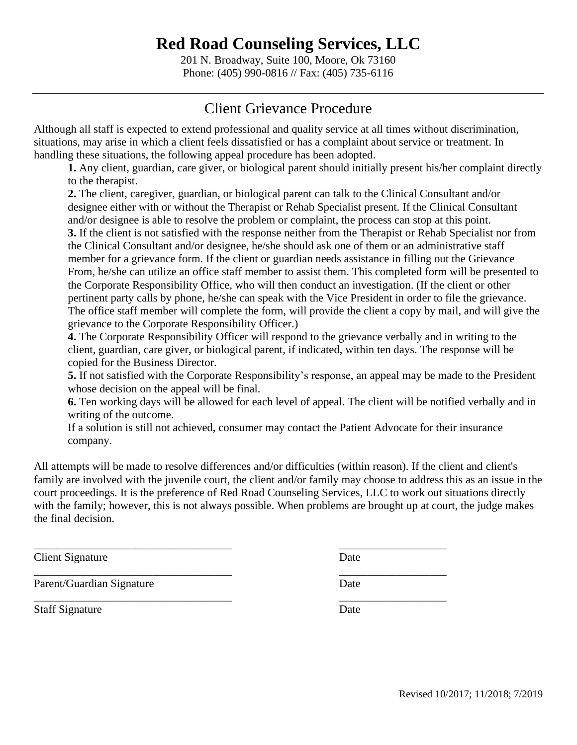201 N. Broadway, Suite 100, Moore, Ok 73160 Phone: (405) 990-0816 // Fax: (405) 735-6116

## Client Grievance Procedure

Although all staff is expected to extend professional and quality service at all times without discrimination, situations, may arise in which a client feels dissatisfied or has a complaint about service or treatment. In handling these situations, the following appeal procedure has been adopted.

**1.** Any client, guardian, care giver, or biological parent should initially present his/her complaint directly to the therapist.

**2.** The client, caregiver, guardian, or biological parent can talk to the Clinical Consultant and/or designee either with or without the Therapist or Rehab Specialist present. If the Clinical Consultant and/or designee is able to resolve the problem or complaint, the process can stop at this point.

**3.** If the client is not satisfied with the response neither from the Therapist or Rehab Specialist nor from the Clinical Consultant and/or designee, he/she should ask one of them or an administrative staff member for a grievance form. If the client or guardian needs assistance in filling out the Grievance From, he/she can utilize an office staff member to assist them. This completed form will be presented to the Corporate Responsibility Office, who will then conduct an investigation. (If the client or other pertinent party calls by phone, he/she can speak with the Vice President in order to file the grievance. The office staff member will complete the form, will provide the client a copy by mail, and will give the grievance to the Corporate Responsibility Officer.)

**4.** The Corporate Responsibility Officer will respond to the grievance verbally and in writing to the client, guardian, care giver, or biological parent, if indicated, within ten days. The response will be copied for the Business Director.

**5.** If not satisfied with the Corporate Responsibility's response, an appeal may be made to the President whose decision on the appeal will be final.

**6.** Ten working days will be allowed for each level of appeal. The client will be notified verbally and in writing of the outcome.

If a solution is still not achieved, consumer may contact the Patient Advocate for their insurance company.

All attempts will be made to resolve differences and/or difficulties (within reason). If the client and client's family are involved with the juvenile court, the client and/or family may choose to address this as an issue in the court proceedings. It is the preference of Red Road Counseling Services, LLC to work out situations directly with the family; however, this is not always possible. When problems are brought up at court, the judge makes the final decision.

\_\_\_\_\_\_\_\_\_\_\_\_\_\_\_\_\_\_\_\_\_\_\_\_\_\_\_\_\_\_\_\_\_\_\_ \_\_\_\_\_\_\_\_\_\_\_\_\_\_\_\_\_\_\_

**Client Signature** Date

Parent/Guardian Signature Date

Staff Signature Date

\_\_\_\_\_\_\_\_\_\_\_\_\_\_\_\_\_\_\_\_\_\_\_\_\_\_\_\_\_\_\_\_\_\_\_ \_\_\_\_\_\_\_\_\_\_\_\_\_\_\_\_\_\_\_

\_\_\_\_\_\_\_\_\_\_\_\_\_\_\_\_\_\_\_\_\_\_\_\_\_\_\_\_\_\_\_\_\_\_\_ \_\_\_\_\_\_\_\_\_\_\_\_\_\_\_\_\_\_\_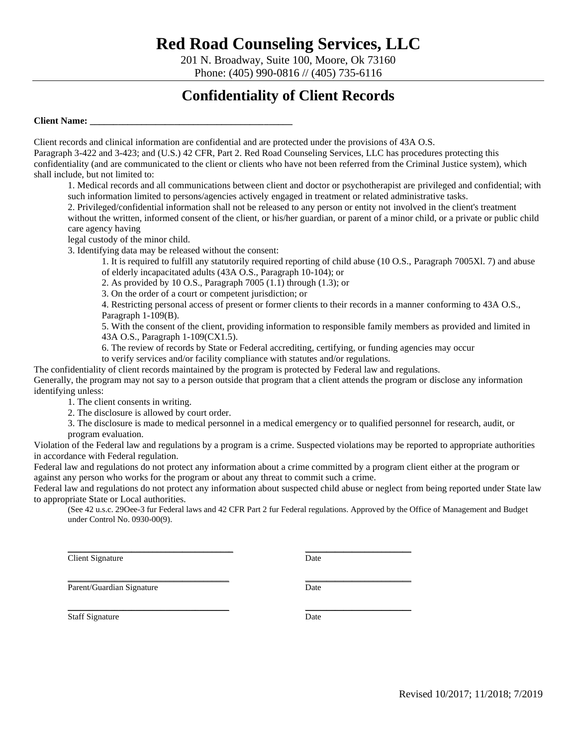201 N. Broadway, Suite 100, Moore, Ok 73160 Phone: (405) 990-0816 // (405) 735-6116

## **Confidentiality of Client Records**

**Client Name: \_\_\_\_\_\_\_\_\_\_\_\_\_\_\_\_\_\_\_\_\_\_\_\_\_\_\_\_\_\_\_\_\_\_\_\_\_\_\_\_\_\_\_**

Client records and clinical information are confidential and are protected under the provisions of 43A O.S.

Paragraph 3-422 and 3-423; and (U.S.) 42 CFR, Part 2. Red Road Counseling Services, LLC has procedures protecting this confidentiality (and are communicated to the client or clients who have not been referred from the Criminal Justice system), which shall include, but not limited to:

1. Medical records and all communications between client and doctor or psychotherapist are privileged and confidential; with such information limited to persons/agencies actively engaged in treatment or related administrative tasks.

2. Privileged/confidential information shall not be released to any person or entity not involved in the client's treatment

without the written, informed consent of the client, or his/her guardian, or parent of a minor child, or a private or public child care agency having

legal custody of the minor child.

3. Identifying data may be released without the consent:

1. It is required to fulfill any statutorily required reporting of child abuse (10 O.S., Paragraph 7005Xl. 7) and abuse of elderly incapacitated adults (43A O.S., Paragraph 10-104); or

2. As provided by 10 O.S., Paragraph  $7005$  (1.1) through (1.3); or

3. On the order of a court or competent jurisdiction; or

4. Restricting personal access of present or former clients to their records in a manner conforming to 43A O.S., Paragraph 1-109(B).

5. With the consent of the client, providing information to responsible family members as provided and limited in 43A O.S., Paragraph 1-109(CX1.5).

6. The review of records by State or Federal accrediting, certifying, or funding agencies may occur

to verify services and/or facility compliance with statutes and/or regulations.

The confidentiality of client records maintained by the program is protected by Federal law and regulations.

Generally, the program may not say to a person outside that program that a client attends the program or disclose any information identifying unless:

1. The client consents in writing.

2. The disclosure is allowed by court order.

3. The disclosure is made to medical personnel in a medical emergency or to qualified personnel for research, audit, or program evaluation.

Violation of the Federal law and regulations by a program is a crime. Suspected violations may be reported to appropriate authorities in accordance with Federal regulation.

Federal law and regulations do not protect any information about a crime committed by a program client either at the program or against any person who works for the program or about any threat to commit such a crime.

Federal law and regulations do not protect any information about suspected child abuse or neglect from being reported under State law to appropriate State or Local authorities.

(See 42 u.s.c. 29Oee-3 fur Federal laws and 42 CFR Part 2 fur Federal regulations. Approved by the Office of Management and Budget under Control No. 0930-00(9).

**Client Signature** Date

\_\_\_\_\_\_\_\_\_\_\_\_\_\_\_\_\_\_\_\_\_\_\_\_\_\_\_\_\_\_\_\_\_\_\_\_\_\_ \_\_\_\_\_\_\_\_\_\_\_\_\_\_\_\_\_\_\_\_\_\_\_\_\_ Parent/Guardian Signature Date

Staff Signature Date

\_\_\_\_\_\_\_\_\_\_\_\_\_\_\_\_\_\_\_\_\_\_\_\_\_\_\_\_\_\_\_\_\_\_\_\_\_\_\_ \_\_\_\_\_\_\_\_\_\_\_\_\_\_\_\_\_\_\_\_\_\_\_\_\_

\_\_\_\_\_\_\_\_\_\_\_\_\_\_\_\_\_\_\_\_\_\_\_\_\_\_\_\_\_\_\_\_\_\_\_\_\_\_ \_\_\_\_\_\_\_\_\_\_\_\_\_\_\_\_\_\_\_\_\_\_\_\_\_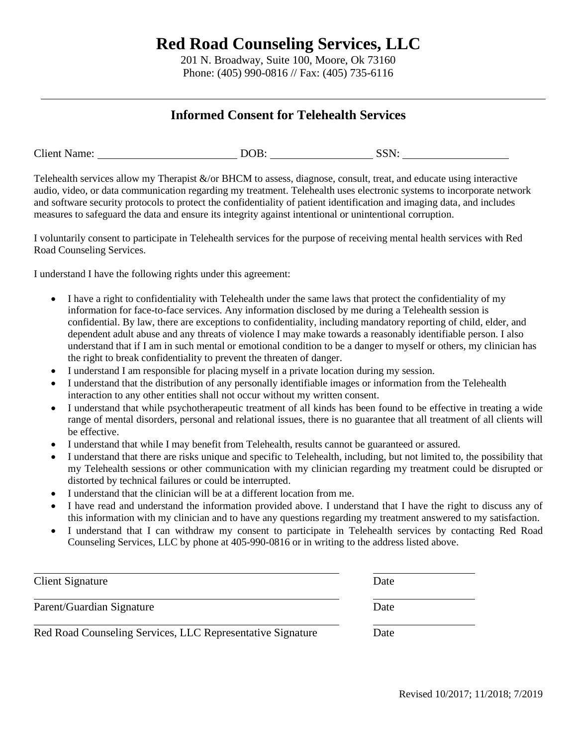201 N. Broadway, Suite 100, Moore, Ok 73160 Phone: (405) 990-0816 // Fax: (405) 735-6116

### **Informed Consent for Telehealth Services**

| DOB.<br><b>Client Name:</b><br><b>SSN:</b> |  |
|--------------------------------------------|--|
|--------------------------------------------|--|

Telehealth services allow my Therapist  $\&$ /or BHCM to assess, diagnose, consult, treat, and educate using interactive audio, video, or data communication regarding my treatment. Telehealth uses electronic systems to incorporate network and software security protocols to protect the confidentiality of patient identification and imaging data, and includes measures to safeguard the data and ensure its integrity against intentional or unintentional corruption.

I voluntarily consent to participate in Telehealth services for the purpose of receiving mental health services with Red Road Counseling Services.

I understand I have the following rights under this agreement:

- I have a right to confidentiality with Telehealth under the same laws that protect the confidentiality of my information for face-to-face services. Any information disclosed by me during a Telehealth session is confidential. By law, there are exceptions to confidentiality, including mandatory reporting of child, elder, and dependent adult abuse and any threats of violence I may make towards a reasonably identifiable person. I also understand that if I am in such mental or emotional condition to be a danger to myself or others, my clinician has the right to break confidentiality to prevent the threaten of danger.
- I understand I am responsible for placing myself in a private location during my session.
- I understand that the distribution of any personally identifiable images or information from the Telehealth interaction to any other entities shall not occur without my written consent.
- I understand that while psychotherapeutic treatment of all kinds has been found to be effective in treating a wide range of mental disorders, personal and relational issues, there is no guarantee that all treatment of all clients will be effective.
- I understand that while I may benefit from Telehealth, results cannot be guaranteed or assured.
- I understand that there are risks unique and specific to Telehealth, including, but not limited to, the possibility that my Telehealth sessions or other communication with my clinician regarding my treatment could be disrupted or distorted by technical failures or could be interrupted.
- I understand that the clinician will be at a different location from me.
- I have read and understand the information provided above. I understand that I have the right to discuss any of this information with my clinician and to have any questions regarding my treatment answered to my satisfaction.
- I understand that I can withdraw my consent to participate in Telehealth services by contacting Red Road Counseling Services, LLC by phone at 405-990-0816 or in writing to the address listed above.

| Client Signature                                           | Date |  |
|------------------------------------------------------------|------|--|
| Parent/Guardian Signature                                  | Date |  |
| Red Road Counseling Services, LLC Representative Signature | Date |  |